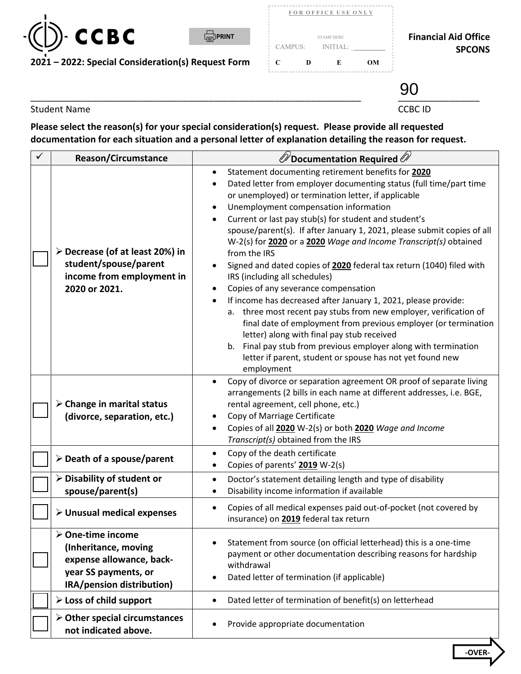

|         | FOR OFFICE USE ONLY |    |
|---------|---------------------|----|
|         |                     |    |
|         | <b>STAMP HERE</b>   |    |
| CAMPUS: | <b>INITIAL:</b>     |    |
| ┌<br>D  | E                   |    |
|         |                     | OМ |

..........................................

## **Financial Aid Office** SPCONS

\_\_\_\_\_\_\_\_\_\_\_\_\_\_\_\_\_\_\_\_\_\_\_\_\_\_\_\_\_\_\_\_\_\_\_\_\_\_\_\_\_\_\_\_\_\_\_\_\_\_\_\_\_\_\_\_\_\_\_\_\_\_\_\_\_ \_\_\_\_\_\_\_\_\_\_\_\_\_\_\_\_ 90

Student Name CCBC ID

**Please select the reason(s) for your special consideration(s) request. Please provide all requested documentation for each situation and a personal letter of explanation detailing the reason for request.** 

| <b>Reason/Circumstance</b>                                                                                                                | $\mathscr{D}$ Documentation Required $\mathscr{D}$                                                                                                                                                                                                                                                                                                                                                                                                                                                                                                                                                                                                                                                                                                                                                                                                                                                                                                                                                                                             |  |  |
|-------------------------------------------------------------------------------------------------------------------------------------------|------------------------------------------------------------------------------------------------------------------------------------------------------------------------------------------------------------------------------------------------------------------------------------------------------------------------------------------------------------------------------------------------------------------------------------------------------------------------------------------------------------------------------------------------------------------------------------------------------------------------------------------------------------------------------------------------------------------------------------------------------------------------------------------------------------------------------------------------------------------------------------------------------------------------------------------------------------------------------------------------------------------------------------------------|--|--|
| ≻ Decrease (of at least 20%) in<br>student/spouse/parent<br>income from employment in<br>2020 or 2021.                                    | Statement documenting retirement benefits for 2020<br>$\bullet$<br>Dated letter from employer documenting status (full time/part time<br>or unemployed) or termination letter, if applicable<br>Unemployment compensation information<br>$\bullet$<br>Current or last pay stub(s) for student and student's<br>spouse/parent(s). If after January 1, 2021, please submit copies of all<br>W-2(s) for 2020 or a 2020 Wage and Income Transcript(s) obtained<br>from the IRS<br>Signed and dated copies of 2020 federal tax return (1040) filed with<br>IRS (including all schedules)<br>Copies of any severance compensation<br>$\bullet$<br>If income has decreased after January 1, 2021, please provide:<br>a. three most recent pay stubs from new employer, verification of<br>final date of employment from previous employer (or termination<br>letter) along with final pay stub received<br>b. Final pay stub from previous employer along with termination<br>letter if parent, student or spouse has not yet found new<br>employment |  |  |
| $\triangleright$ Change in marital status<br>(divorce, separation, etc.)                                                                  | Copy of divorce or separation agreement OR proof of separate living<br>$\bullet$<br>arrangements (2 bills in each name at different addresses, i.e. BGE,<br>rental agreement, cell phone, etc.)<br>Copy of Marriage Certificate<br>$\bullet$<br>Copies of all 2020 W-2(s) or both 2020 Wage and Income<br>$\bullet$<br>Transcript(s) obtained from the IRS                                                                                                                                                                                                                                                                                                                                                                                                                                                                                                                                                                                                                                                                                     |  |  |
| $\triangleright$ Death of a spouse/parent                                                                                                 | Copy of the death certificate<br>$\bullet$<br>Copies of parents' 2019 W-2(s)<br>$\bullet$                                                                                                                                                                                                                                                                                                                                                                                                                                                                                                                                                                                                                                                                                                                                                                                                                                                                                                                                                      |  |  |
| $\triangleright$ Disability of student or<br>spouse/parent(s)                                                                             | Doctor's statement detailing length and type of disability<br>$\bullet$<br>Disability income information if available<br>$\bullet$                                                                                                                                                                                                                                                                                                                                                                                                                                                                                                                                                                                                                                                                                                                                                                                                                                                                                                             |  |  |
| $\triangleright$ Unusual medical expenses                                                                                                 | Copies of all medical expenses paid out-of-pocket (not covered by<br>$\bullet$<br>insurance) on 2019 federal tax return                                                                                                                                                                                                                                                                                                                                                                                                                                                                                                                                                                                                                                                                                                                                                                                                                                                                                                                        |  |  |
| $\triangleright$ One-time income<br>(Inheritance, moving<br>expense allowance, back-<br>year SS payments, or<br>IRA/pension distribution) | Statement from source (on official letterhead) this is a one-time<br>payment or other documentation describing reasons for hardship<br>withdrawal<br>Dated letter of termination (if applicable)<br>$\bullet$                                                                                                                                                                                                                                                                                                                                                                                                                                                                                                                                                                                                                                                                                                                                                                                                                                  |  |  |
| $\triangleright$ Loss of child support                                                                                                    | Dated letter of termination of benefit(s) on letterhead<br>$\bullet$                                                                                                                                                                                                                                                                                                                                                                                                                                                                                                                                                                                                                                                                                                                                                                                                                                                                                                                                                                           |  |  |
| $\triangleright$ Other special circumstances<br>not indicated above.                                                                      | Provide appropriate documentation                                                                                                                                                                                                                                                                                                                                                                                                                                                                                                                                                                                                                                                                                                                                                                                                                                                                                                                                                                                                              |  |  |